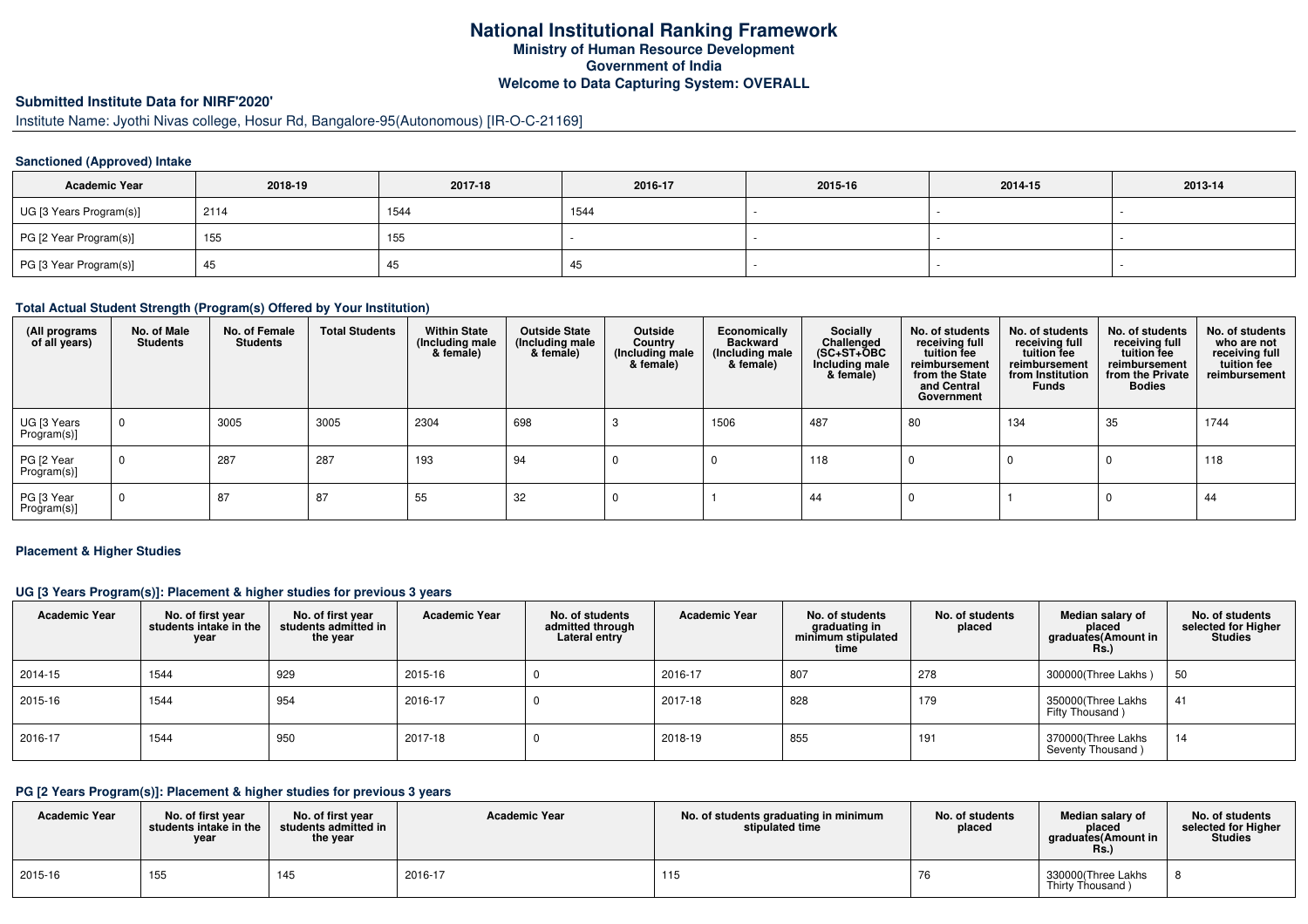## **National Institutional Ranking Framework Ministry of Human Resource Development Government of India Welcome to Data Capturing System: OVERALL**

# **Submitted Institute Data for NIRF'2020'**

# Institute Name: Jyothi Nivas college, Hosur Rd, Bangalore-95(Autonomous) [IR-O-C-21169]

## **Sanctioned (Approved) Intake**

| <b>Academic Year</b>    | 2018-19 | 2017-18 | 2016-17 | 2015-16 | 2014-15 | 2013-14 |
|-------------------------|---------|---------|---------|---------|---------|---------|
| UG [3 Years Program(s)] | 2114    | 1544    | 1544    |         |         |         |
| PG [2 Year Program(s)]  | 155     | 155     |         |         |         |         |
| PG [3 Year Program(s)]  | 45      | 40      | -45     |         |         |         |

#### **Total Actual Student Strength (Program(s) Offered by Your Institution)**

| (All programs<br>of all years) | No. of Male<br><b>Students</b> | No. of Female<br><b>Students</b> | <b>Total Students</b> | <b>Within State</b><br>(Including male<br>& female) | <b>Outside State</b><br>(Including male<br>& female) | Outside<br>Country<br>(Including male<br>& female) | Economically<br><b>Backward</b><br>(Including male<br>& female) | Socially<br>Challenged<br>$(SC+ST+\textcolor{blue}{\bullet}BC$<br>Including male<br>& female) | No. of students<br>receiving full<br>tuition fee<br>reimbursement<br>from the State<br>and Central<br>Government | No. of students<br>receiving full<br>tuition fee<br>reimbursement<br>from Institution<br><b>Funds</b> | No. of students<br>receiving full<br>tuition fee<br>reimbursement<br>from the Private<br><b>Bodies</b> | No. of students<br>who are not<br>receiving full<br>tuition fee<br>reimbursement |
|--------------------------------|--------------------------------|----------------------------------|-----------------------|-----------------------------------------------------|------------------------------------------------------|----------------------------------------------------|-----------------------------------------------------------------|-----------------------------------------------------------------------------------------------|------------------------------------------------------------------------------------------------------------------|-------------------------------------------------------------------------------------------------------|--------------------------------------------------------------------------------------------------------|----------------------------------------------------------------------------------|
| UG [3 Years<br>Program(s)]     | $\mathbf 0$                    | 3005                             | 3005                  | 2304                                                | 698                                                  |                                                    | 1506                                                            | 487                                                                                           | 80                                                                                                               | 134                                                                                                   | 35                                                                                                     | 1744                                                                             |
| PG [2 Year<br>Program(s)]      | 0                              | 287                              | 287                   | 193                                                 | 94                                                   |                                                    |                                                                 | 118                                                                                           |                                                                                                                  |                                                                                                       |                                                                                                        | 118                                                                              |
| PG [3 Year<br>Program(s)]      | $\mathbf 0$                    | 87                               | 87                    | 55                                                  | 32                                                   |                                                    |                                                                 | 44                                                                                            |                                                                                                                  |                                                                                                       |                                                                                                        | 44                                                                               |

#### **Placement & Higher Studies**

## **UG [3 Years Program(s)]: Placement & higher studies for previous 3 years**

| <b>Academic Year</b> | No. of first year<br>students intake in the<br>year | No. of first year<br>students admitted in<br>the year | <b>Academic Year</b> | No. of students<br>admitted through<br>Lateral entry | <b>Academic Year</b> | No. of students<br>graduating in<br>minimum stipulated<br>time | No. of students<br>placed | Median salary of<br>placed<br>graduates(Amount in<br>Rs. | No. of students<br>selected for Higher<br>Studies |
|----------------------|-----------------------------------------------------|-------------------------------------------------------|----------------------|------------------------------------------------------|----------------------|----------------------------------------------------------------|---------------------------|----------------------------------------------------------|---------------------------------------------------|
| 2014-15              | 1544                                                | 929                                                   | 2015-16              |                                                      | 2016-17              | 807                                                            | 278                       | 300000(Three Lakhs)                                      | 50                                                |
| 2015-16              | 1544                                                | 954                                                   | 2016-17              |                                                      | 2017-18              | 828                                                            | 179                       | 350000(Three Lakhs<br>Fifty Thousand)                    | 41                                                |
| 2016-17              | 1544                                                | 950                                                   | 2017-18              |                                                      | 2018-19              | 855                                                            | 191                       | 370000(Three Lakhs<br>Seventy Thousand)                  | 14                                                |

# **PG [2 Years Program(s)]: Placement & higher studies for previous 3 years**

| <b>Academic Year</b> | No. of first vear<br>students intake in the<br>vear | No. of first vear<br>students admitted in<br>the year | <b>Academic Year</b> | No. of students graduating in minimum<br>stipulated time | No. of students<br>placed | Median salary of<br>placed<br>graduates(Amount in<br>Rs. | No. of students<br>selected for Higher<br>Studies |
|----------------------|-----------------------------------------------------|-------------------------------------------------------|----------------------|----------------------------------------------------------|---------------------------|----------------------------------------------------------|---------------------------------------------------|
| 2015-16              | 155                                                 | 145                                                   | 2016-17              | 115                                                      |                           | 330000(Three Lakhs<br>Thirty Thousand)                   |                                                   |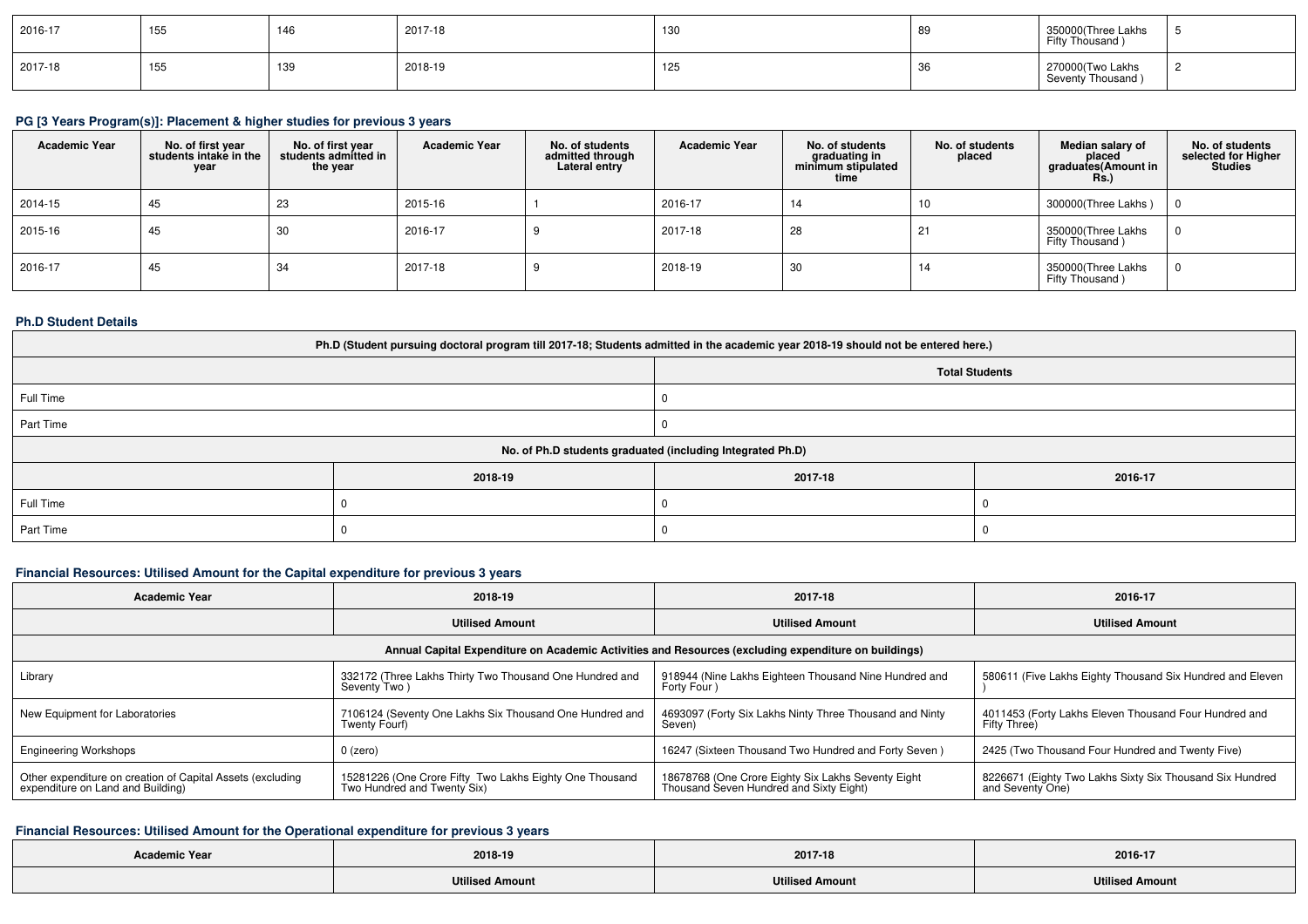| 2016-17 | 155 | 146 | 2017-18 | 130 | -89 | 350000(Three Lakhs<br>Fifty Thousand ) |  |
|---------|-----|-----|---------|-----|-----|----------------------------------------|--|
| 2017-18 | 155 | 139 | 2018-19 | 125 | -36 | 270000(Two Lakhs<br>Seventy Thousand)  |  |

# **PG [3 Years Program(s)]: Placement & higher studies for previous 3 years**

| <b>Academic Year</b> | No. of first year<br>students intake in the<br>year | No. of first year<br>students admitted in<br>the year | <b>Academic Year</b> | No. of students<br>admitted through<br>Lateral entry | <b>Academic Year</b> | No. of students<br>graduating in<br>minimum stipulated<br>time | No. of students<br>placed | Median salary of<br>placed<br>graduates(Amount in<br><b>Rs.)</b> | No. of students<br>selected for Higher<br><b>Studies</b> |
|----------------------|-----------------------------------------------------|-------------------------------------------------------|----------------------|------------------------------------------------------|----------------------|----------------------------------------------------------------|---------------------------|------------------------------------------------------------------|----------------------------------------------------------|
| 2014-15              | 45                                                  | 23                                                    | 2015-16              |                                                      | 2016-17              |                                                                | 10                        | 300000(Three Lakhs)                                              |                                                          |
| 2015-16              | 45                                                  | 30                                                    | 2016-17              |                                                      | 2017-18              | 28                                                             | 21                        | 350000(Three Lakhs<br>Fifty Thousand)                            |                                                          |
| 2016-17              | 45                                                  | 34                                                    | 2017-18              |                                                      | 2018-19              | 30                                                             | 14                        | 350000(Three Lakhs<br>Fifty Thousand)                            | 0                                                        |

#### **Ph.D Student Details**

| Ph.D (Student pursuing doctoral program till 2017-18; Students admitted in the academic year 2018-19 should not be entered here.) |                                                            |         |         |  |  |  |  |
|-----------------------------------------------------------------------------------------------------------------------------------|------------------------------------------------------------|---------|---------|--|--|--|--|
|                                                                                                                                   | <b>Total Students</b>                                      |         |         |  |  |  |  |
| Full Time                                                                                                                         |                                                            |         |         |  |  |  |  |
| Part Time                                                                                                                         |                                                            |         |         |  |  |  |  |
|                                                                                                                                   | No. of Ph.D students graduated (including Integrated Ph.D) |         |         |  |  |  |  |
|                                                                                                                                   | 2018-19                                                    | 2017-18 | 2016-17 |  |  |  |  |
| Full Time                                                                                                                         |                                                            |         |         |  |  |  |  |
| Part Time                                                                                                                         |                                                            |         |         |  |  |  |  |

## **Financial Resources: Utilised Amount for the Capital expenditure for previous 3 years**

| <b>Academic Year</b>                                                                                 | 2018-19                                                                                | 2017-18                                                                                       | 2016-17                                                                      |  |  |  |  |
|------------------------------------------------------------------------------------------------------|----------------------------------------------------------------------------------------|-----------------------------------------------------------------------------------------------|------------------------------------------------------------------------------|--|--|--|--|
|                                                                                                      | <b>Utilised Amount</b>                                                                 | <b>Utilised Amount</b>                                                                        | <b>Utilised Amount</b>                                                       |  |  |  |  |
| Annual Capital Expenditure on Academic Activities and Resources (excluding expenditure on buildings) |                                                                                        |                                                                                               |                                                                              |  |  |  |  |
| Library                                                                                              | 332172 (Three Lakhs Thirty Two Thousand One Hundred and<br>Seventy Two)                | 918944 (Nine Lakhs Eighteen Thousand Nine Hundred and<br>Forty Four)                          | 580611 (Five Lakhs Eighty Thousand Six Hundred and Eleven                    |  |  |  |  |
| New Equipment for Laboratories                                                                       | 7106124 (Seventy One Lakhs Six Thousand One Hundred and<br>Twenty Fourf)               | 4693097 (Forty Six Lakhs Ninty Three Thousand and Ninty<br>Seven)                             | 4011453 (Forty Lakhs Eleven Thousand Four Hundred and<br>Fifty Three)        |  |  |  |  |
| <b>Engineering Workshops</b>                                                                         | $0$ (zero)                                                                             | 16247 (Sixteen Thousand Two Hundred and Forty Seven)                                          | 2425 (Two Thousand Four Hundred and Twenty Five)                             |  |  |  |  |
| Other expenditure on creation of Capital Assets (excluding<br>expenditure on Land and Building)      | 15281226 (One Crore Fifty Two Lakhs Eighty One Thousand<br>Two Hundred and Twenty Six) | 18678768 (One Crore Eighty Six Lakhs Seventy Eight<br>Thousand Seven Hundred and Sixty Eight) | 8226671 (Eighty Two Lakhs Sixty Six Thousand Six Hundred<br>and Seventy One) |  |  |  |  |

## **Financial Resources: Utilised Amount for the Operational expenditure for previous 3 years**

| <b>Academic Year</b> | 2018-19                | 2017-18                | 2016-17                |
|----------------------|------------------------|------------------------|------------------------|
|                      | <b>Utilised Amount</b> | <b>Utilised Amount</b> | <b>Utilised Amount</b> |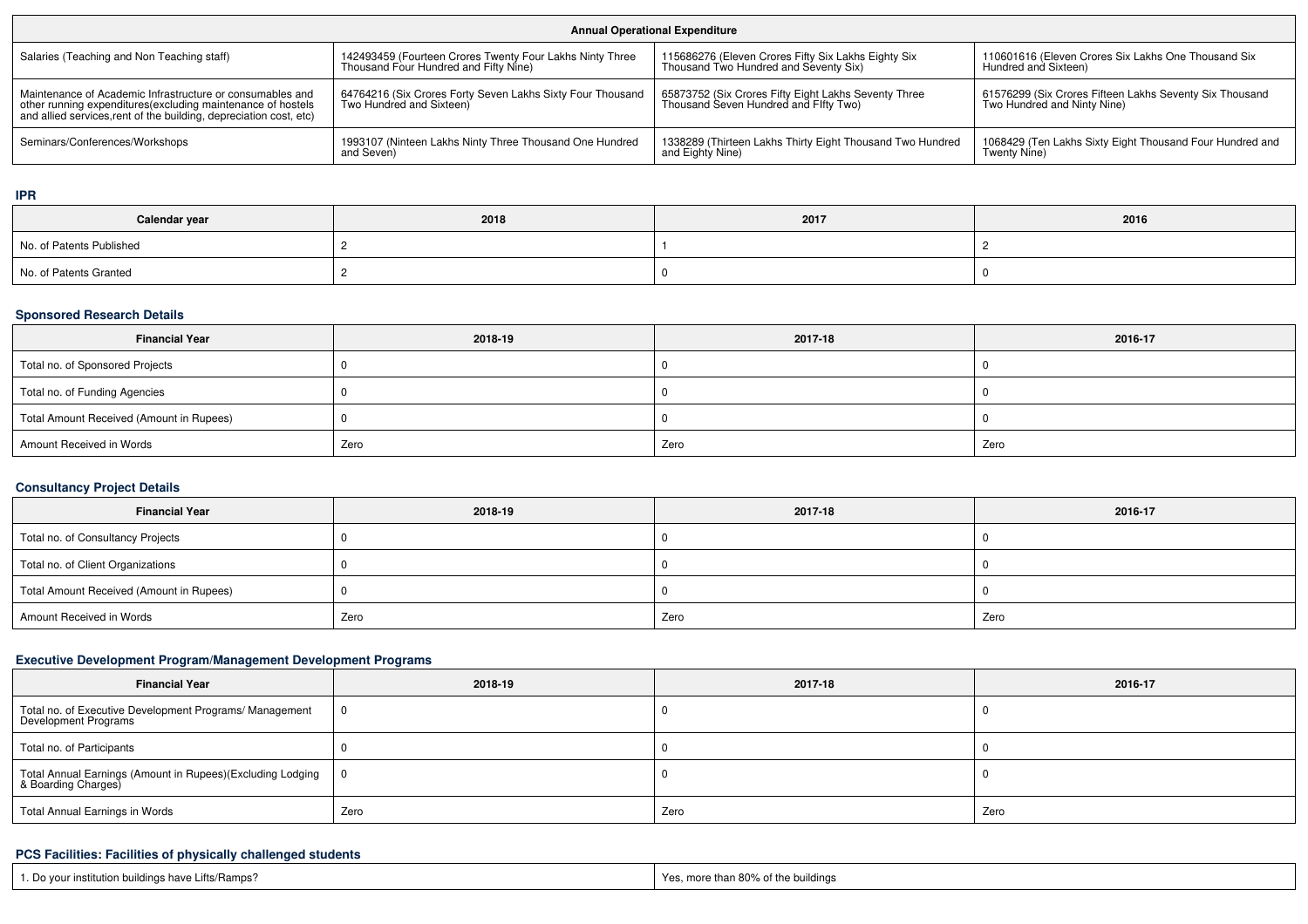| <b>Annual Operational Expenditure</b>                                                                                                                                                                                                                                |                                                                                                   |                                                                                               |                                                                                        |  |  |  |  |
|----------------------------------------------------------------------------------------------------------------------------------------------------------------------------------------------------------------------------------------------------------------------|---------------------------------------------------------------------------------------------------|-----------------------------------------------------------------------------------------------|----------------------------------------------------------------------------------------|--|--|--|--|
| Salaries (Teaching and Non Teaching staff)                                                                                                                                                                                                                           | 142493459 (Fourteen Crores Twenty Four Lakhs Ninty Three<br>Thousand Four Hundred and Fifty Nine) | 115686276 (Eleven Crores Fifty Six Lakhs Eighty Six<br>Thousand Two Hundred and Seventy Six)  | 110601616 (Eleven Crores Six Lakhs One Thousand Six<br>Hundred and Sixteen)            |  |  |  |  |
| Maintenance of Academic Infrastructure or consumables and<br>other running expenditures(excluding maintenance of hostels<br>and allied services, rent of the building, depreciation cost, etc)                                                                       | 64764216 (Six Crores Forty Seven Lakhs Sixty Four Thousand<br>Two Hundred and Sixteen)            | 65873752 (Six Crores Fifty Eight Lakhs Seventy Three<br>Thousand Seven Hundred and Flfty Two) | 61576299 (Six Crores Fifteen Lakhs Seventy Six Thousand<br>Two Hundred and Ninty Nine) |  |  |  |  |
| 1993107 (Ninteen Lakhs Ninty Three Thousand One Hundred<br>1338289 (Thirteen Lakhs Thirty Eight Thousand Two Hundred<br>1068429 (Ten Lakhs Sixty Eight Thousand Four Hundred and<br>Seminars/Conferences/Workshops<br>and Eighty Nine)<br>Twenty Nine)<br>and Seven) |                                                                                                   |                                                                                               |                                                                                        |  |  |  |  |

**IPR**

| Calendar year            | 2018 | 2017 | 2016 |
|--------------------------|------|------|------|
| No. of Patents Published |      |      |      |
| No. of Patents Granted   |      |      |      |

## **Sponsored Research Details**

| <b>Financial Year</b>                    | 2018-19 | 2017-18 | 2016-17 |
|------------------------------------------|---------|---------|---------|
| Total no. of Sponsored Projects          |         |         |         |
| Total no. of Funding Agencies            |         |         |         |
| Total Amount Received (Amount in Rupees) |         |         |         |
| Amount Received in Words                 | Zero    | Zero    | Zero    |

# **Consultancy Project Details**

| <b>Financial Year</b>                    | 2018-19 | 2017-18 | 2016-17 |
|------------------------------------------|---------|---------|---------|
| Total no. of Consultancy Projects        |         |         |         |
| Total no. of Client Organizations        |         |         |         |
| Total Amount Received (Amount in Rupees) |         |         |         |
| Amount Received in Words                 | Zero    | Zero    | Zero    |

# **Executive Development Program/Management Development Programs**

| <b>Financial Year</b>                                                             | 2018-19 | 2017-18 | 2016-17 |
|-----------------------------------------------------------------------------------|---------|---------|---------|
| Total no. of Executive Development Programs/ Management<br>Development Programs   |         |         |         |
| Total no. of Participants                                                         |         |         |         |
| Total Annual Earnings (Amount in Rupees)(Excluding Lodging<br>& Boarding Charges) |         |         |         |
| <b>Total Annual Earnings in Words</b>                                             | Zero    | Zero    | Zero    |

## **PCS Facilities: Facilities of physically challenged students**

| 1. Do your institution buildings have Lifts/Ramps? | ----<br>Yes, more than 80% of the buildings |
|----------------------------------------------------|---------------------------------------------|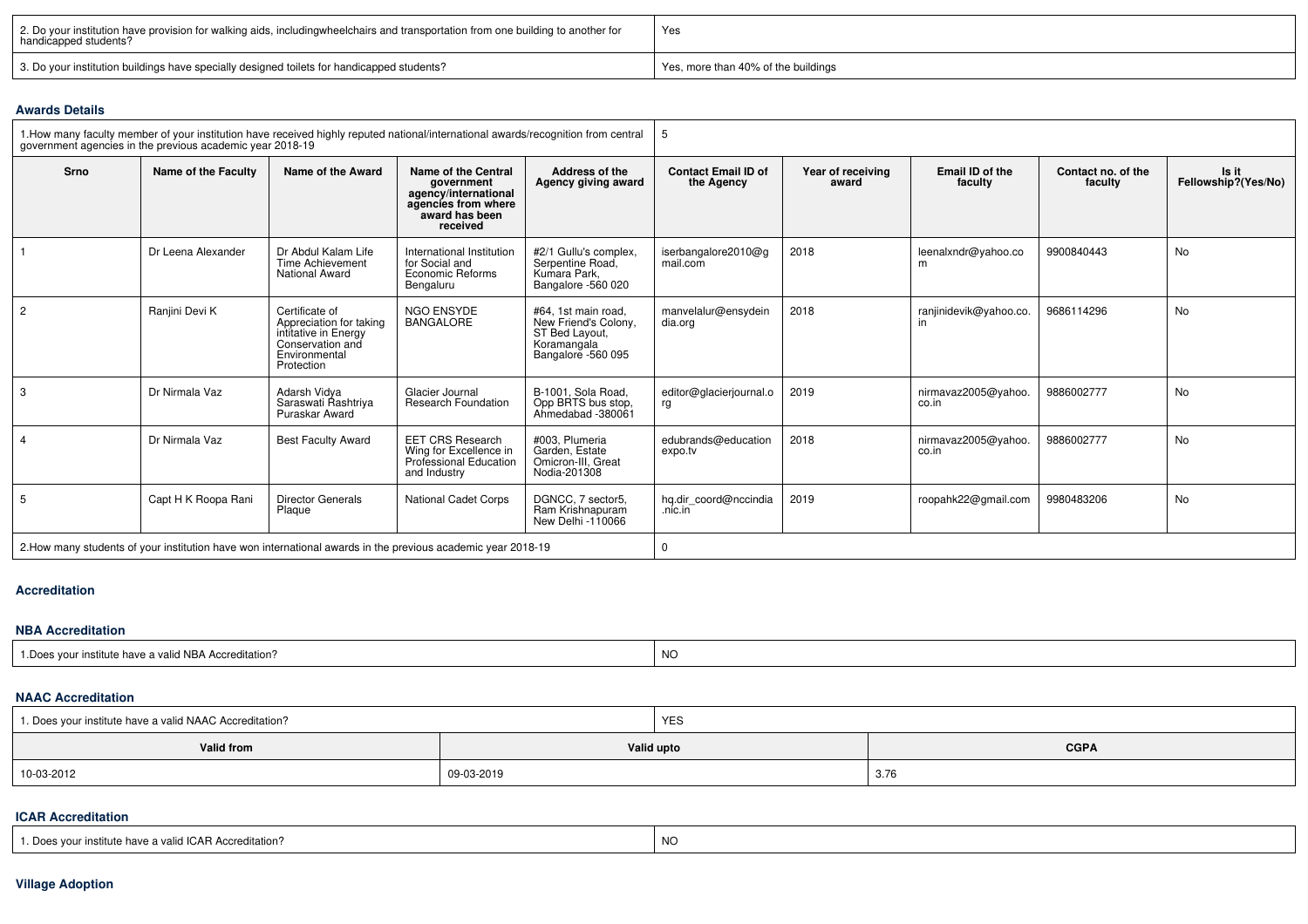| 2. Do your institution have provision for walking aids, includingwheelchairs and transportation from one building to another for<br>handicapped students? | Yes                                 |  |  |  |
|-----------------------------------------------------------------------------------------------------------------------------------------------------------|-------------------------------------|--|--|--|
| 3. Do your institution buildings have specially designed toilets for handicapped students?                                                                | Yes, more than 40% of the buildings |  |  |  |

#### **Awards Details**

|                | government agencies in the previous academic year 2018-19 | 1. How many faculty member of your institution have received highly reputed national/international awards/recognition from central |                                                                                                                |                                                                                                    | 5                                        |                            |                              |                               |                              |  |  |
|----------------|-----------------------------------------------------------|------------------------------------------------------------------------------------------------------------------------------------|----------------------------------------------------------------------------------------------------------------|----------------------------------------------------------------------------------------------------|------------------------------------------|----------------------------|------------------------------|-------------------------------|------------------------------|--|--|
| <b>Srno</b>    | Name of the Faculty                                       | Name of the Award                                                                                                                  | Name of the Central<br>aovernment<br>agency/international<br>agencies from where<br>award has been<br>received | Address of the<br>Agency giving award                                                              | <b>Contact Email ID of</b><br>the Agency | Year of receiving<br>award | Email ID of the<br>faculty   | Contact no. of the<br>faculty | Is it<br>Fellowship?(Yes/No) |  |  |
|                | Dr Leena Alexander                                        | Dr Abdul Kalam Life<br><b>Time Achievement</b><br><b>National Award</b>                                                            | International Institution<br>for Social and<br>Economic Reforms<br>Bengaluru                                   | #2/1 Gullu's complex,<br>Serpentine Road,<br>Kumara Park,<br>Bangalore -560 020                    | iserbangalore2010@g<br>mail.com          | 2018                       | leenalxndr@yahoo.co<br>m     | 9900840443                    | <b>No</b>                    |  |  |
| $\overline{2}$ | Ranjini Devi K                                            | Certificate of<br>Appreciation for taking<br>intitative in Energy<br>Conservation and<br>Environmental<br>Protection               | <b>NGO ENSYDE</b><br><b>BANGALORE</b>                                                                          | #64. 1st main road.<br>New Friend's Colony.<br>ST Bed Layout,<br>Koramangala<br>Bangalore -560 095 | manvelalur@ensydein<br>dia.org           | 2018                       | ranjinidevik@yahoo.co.       | 9686114296                    | <b>No</b>                    |  |  |
| 3              | Dr Nirmala Vaz                                            | Adarsh Vidva<br>Saraswati Rashtriya<br>Puraskar Award                                                                              | Glacier Journal<br><b>Research Foundation</b>                                                                  | B-1001. Sola Road.<br>Opp BRTS bus stop,<br>Ahmedabad -380061                                      | editor@glacierjournal.o<br>rg            | 2019                       | nirmavaz2005@yahoo.<br>co.in | 9886002777                    | No                           |  |  |
|                | Dr Nirmala Vaz                                            | <b>Best Faculty Award</b>                                                                                                          | <b>EET CRS Research</b><br>Wing for Excellence in<br>Professional Education<br>and Industry                    | #003. Plumeria<br>Garden, Estate<br>Omicron-III. Great<br>Nodia-201308                             | edubrands@education<br>expo.tv           | 2018                       | nirmavaz2005@yahoo.<br>co.in | 9886002777                    | No                           |  |  |
| 5              | Capt H K Roopa Rani                                       | <b>Director Generals</b><br>Plaque                                                                                                 | <b>National Cadet Corps</b>                                                                                    | DGNCC. 7 sector5.<br>Ram Krishnapuram<br>New Delhi -110066                                         | hq.dir coord@nccindia<br>nic.in          | 2019                       | roopahk22@gmail.com          | 9980483206                    | No                           |  |  |
|                |                                                           | 2. 2. How many students of your institution have won international awards in the previous academic year 2018-19                    |                                                                                                                |                                                                                                    | $\Omega$                                 |                            |                              |                               |                              |  |  |

#### **Accreditation**

#### **NBA Accreditation**

| a valid NBA Acu<br>110F<br>$\overline{\mathbf{v}}$<br>יי<br>institute<br>ngwa<br>iave a<br>зчнано | <b>NC</b> |
|---------------------------------------------------------------------------------------------------|-----------|
|                                                                                                   |           |

#### **NAAC Accreditation**

| 1. Does your institute have a valid NAAC Accreditation? |            | <b>YES</b>                |                       |  |  |
|---------------------------------------------------------|------------|---------------------------|-----------------------|--|--|
| Valid from                                              |            | <b>CGPA</b><br>Valid upto |                       |  |  |
| $10-03-2012$<br>$\sim$ $\sim$ $\sim$ $\sim$             | 09-03-2019 |                           | $\sim$ $\sim$<br>3.76 |  |  |

#### **ICAR Accreditation**

| $\sqrt{2}$<br>. ICAR Accreditation?<br>1200<br>a vour institute have a valid it. | $\overline{M}$<br>יעו<br>. |
|----------------------------------------------------------------------------------|----------------------------|
|                                                                                  |                            |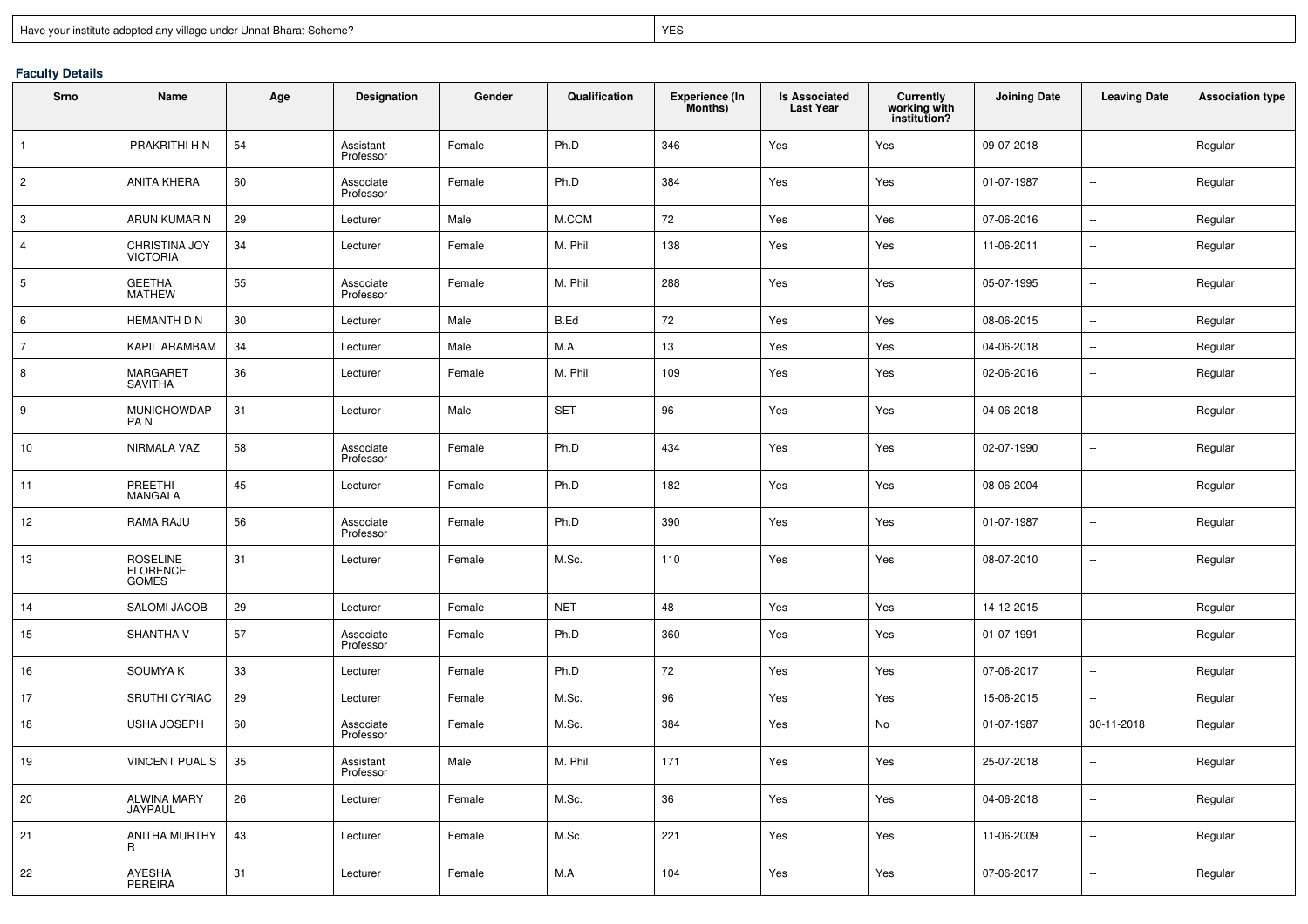## **Faculty Details**

| Srno            | Name                                  | Age | Designation            | Gender | Qualification | <b>Experience (In</b><br>Months) | <b>Is Associated</b><br><b>Last Year</b> | <b>Currently</b><br>working with<br>institution? | <b>Joining Date</b> | <b>Leaving Date</b>      | <b>Association type</b> |
|-----------------|---------------------------------------|-----|------------------------|--------|---------------|----------------------------------|------------------------------------------|--------------------------------------------------|---------------------|--------------------------|-------------------------|
| $\mathbf{1}$    | PRAKRITHI H N                         | 54  | Assistant<br>Professor | Female | Ph.D          | 346                              | Yes                                      | Yes                                              | 09-07-2018          | --                       | Regular                 |
| $\overline{c}$  | <b>ANITA KHERA</b>                    | 60  | Associate<br>Professor | Female | Ph.D          | 384                              | Yes                                      | Yes                                              | 01-07-1987          | --                       | Regular                 |
| 3               | ARUN KUMAR N                          | 29  | Lecturer               | Male   | M.COM         | 72                               | Yes                                      | Yes                                              | 07-06-2016          | Ш,                       | Regular                 |
| 4               | CHRISTINA JOY<br><b>VICTORIA</b>      | 34  | Lecturer               | Female | M. Phil       | 138                              | Yes                                      | Yes                                              | 11-06-2011          | $\mathbf{u}$             | Regular                 |
| $5\phantom{.0}$ | GEETHA<br>MATHEW                      | 55  | Associate<br>Professor | Female | M. Phil       | 288                              | Yes                                      | Yes                                              | 05-07-1995          | $\mathbf{u}$             | Regular                 |
| 6               | <b>HEMANTH D N</b>                    | 30  | Lecturer               | Male   | B.Ed          | 72                               | Yes                                      | Yes                                              | 08-06-2015          | $\sim$                   | Regular                 |
| $\overline{7}$  | KAPIL ARAMBAM                         | 34  | Lecturer               | Male   | M.A           | 13                               | Yes                                      | Yes                                              | 04-06-2018          | $\sim$                   | Regular                 |
| 8               | MARGARET<br><b>SAVITHA</b>            | 36  | Lecturer               | Female | M. Phil       | 109                              | Yes                                      | Yes                                              | 02-06-2016          | --                       | Regular                 |
| 9               | <b>MUNICHOWDAP</b><br>PA <sub>N</sub> | 31  | Lecturer               | Male   | <b>SET</b>    | 96                               | Yes                                      | Yes                                              | 04-06-2018          | --                       | Regular                 |
| 10              | NIRMALA VAZ                           | 58  | Associate<br>Professor | Female | Ph.D          | 434                              | Yes                                      | Yes                                              | 02-07-1990          | --                       | Regular                 |
| 11              | PREETHI<br><b>MANGALA</b>             | 45  | Lecturer               | Female | Ph.D          | 182                              | Yes                                      | Yes                                              | 08-06-2004          | $\overline{\phantom{a}}$ | Regular                 |
| 12              | RAMA RAJU                             | 56  | Associate<br>Professor | Female | Ph.D          | 390                              | Yes                                      | Yes                                              | 01-07-1987          | --                       | Regular                 |
| 13              | ROSELINE<br>FLORENCE<br><b>GOMES</b>  | 31  | Lecturer               | Female | M.Sc.         | 110                              | Yes                                      | Yes                                              | 08-07-2010          | --                       | Regular                 |
| 14              | SALOMI JACOB                          | 29  | Lecturer               | Female | <b>NET</b>    | 48                               | Yes                                      | Yes                                              | 14-12-2015          | ш.                       | Regular                 |
| 15              | SHANTHA V                             | 57  | Associate<br>Professor | Female | Ph.D          | 360                              | Yes                                      | Yes                                              | 01-07-1991          | --                       | Regular                 |
| 16              | <b>SOUMYAK</b>                        | 33  | Lecturer               | Female | Ph.D          | 72                               | Yes                                      | Yes                                              | 07-06-2017          | $\sim$                   | Regular                 |
| 17              | <b>SRUTHI CYRIAC</b>                  | 29  | Lecturer               | Female | M.Sc.         | 96                               | Yes                                      | Yes                                              | 15-06-2015          | $\sim$                   | Regular                 |
| 18              | <b>USHA JOSEPH</b>                    | 60  | Associate<br>Professor | Female | M.Sc.         | 384                              | Yes                                      | No                                               | 01-07-1987          | 30-11-2018               | Regular                 |
| 19              | <b>VINCENT PUAL S</b>                 | 35  | Assistant<br>Professor | Male   | M. Phil       | 171                              | Yes                                      | Yes                                              | 25-07-2018          | $\sim$ $\sim$            | Regular                 |
| 20              | <b>ALWINA MARY</b><br>JAYPAUL         | 26  | Lecturer               | Female | M.Sc.         | 36                               | Yes                                      | Yes                                              | 04-06-2018          | $\sim$                   | Regular                 |
| 21              | ANITHA MURTHY<br>R                    | 43  | Lecturer               | Female | M.Sc.         | 221                              | Yes                                      | Yes                                              | 11-06-2009          | $\sim$                   | Regular                 |
| 22              | AYESHA<br>PEREIRA                     | 31  | Lecturer               | Female | M.A           | 104                              | Yes                                      | Yes                                              | 07-06-2017          | $\sim$                   | Regular                 |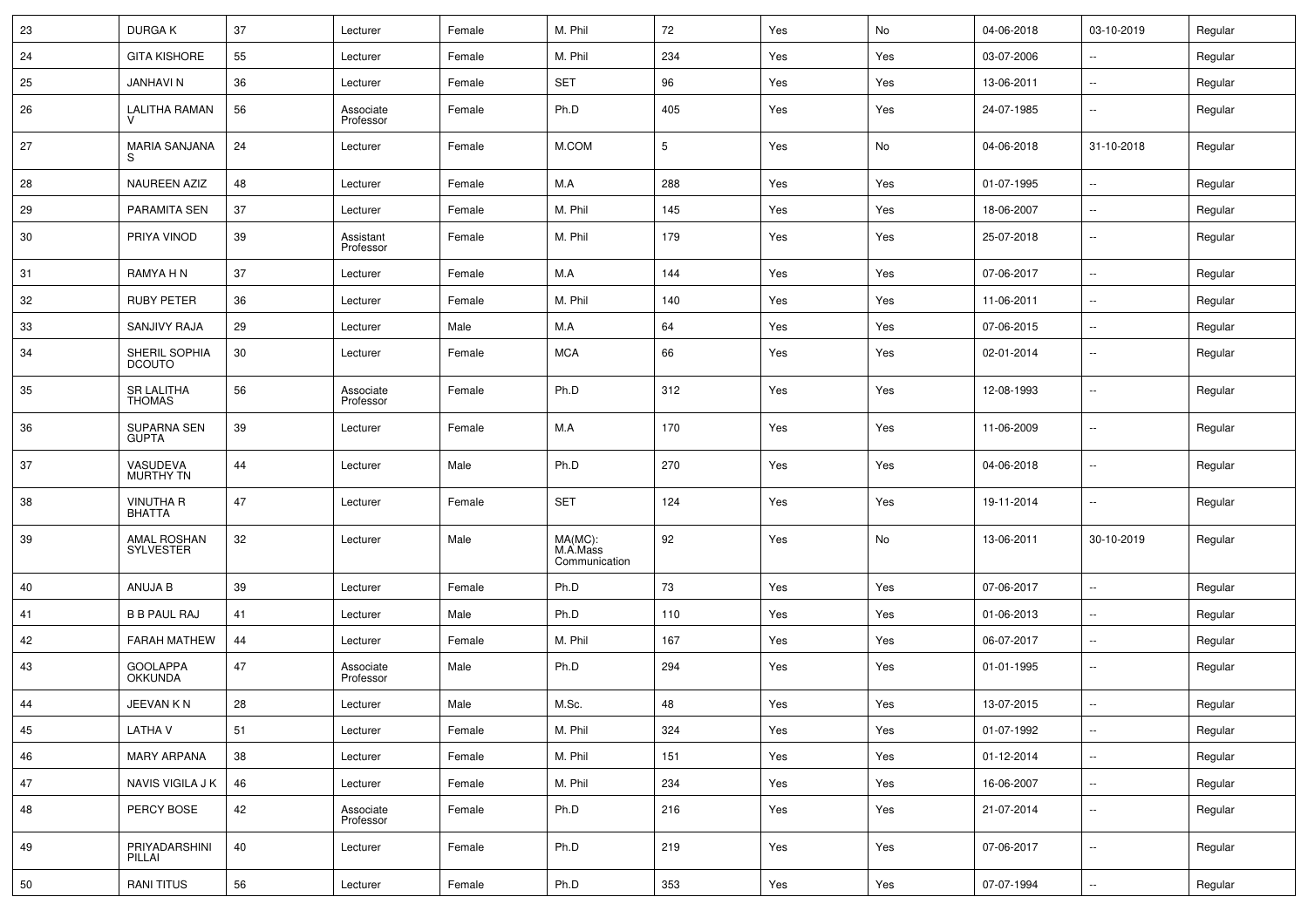| 23 | <b>DURGAK</b>                      | 37 | Lecturer               | Female | M. Phil                              | 72  | Yes | No  | 04-06-2018 | 03-10-2019               | Regular |
|----|------------------------------------|----|------------------------|--------|--------------------------------------|-----|-----|-----|------------|--------------------------|---------|
| 24 | <b>GITA KISHORE</b>                | 55 | Lecturer               | Female | M. Phil                              | 234 | Yes | Yes | 03-07-2006 | $\sim$                   | Regular |
| 25 | <b>JANHAVIN</b>                    | 36 | Lecturer               | Female | <b>SET</b>                           | 96  | Yes | Yes | 13-06-2011 | ٠.                       | Regular |
| 26 | <b>LALITHA RAMAN</b>               | 56 | Associate<br>Professor | Female | Ph.D                                 | 405 | Yes | Yes | 24-07-1985 | $\sim$                   | Regular |
| 27 | <b>MARIA SANJANA</b>               | 24 | Lecturer               | Female | M.COM                                | 5   | Yes | No  | 04-06-2018 | 31-10-2018               | Regular |
| 28 | NAUREEN AZIZ                       | 48 | Lecturer               | Female | M.A                                  | 288 | Yes | Yes | 01-07-1995 | $\sim$ $\sim$            | Regular |
| 29 | PARAMITA SEN                       | 37 | Lecturer               | Female | M. Phil                              | 145 | Yes | Yes | 18-06-2007 | $\sim$                   | Regular |
| 30 | PRIYA VINOD                        | 39 | Assistant<br>Professor | Female | M. Phil                              | 179 | Yes | Yes | 25-07-2018 | $\sim$                   | Regular |
| 31 | RAMYA H N                          | 37 | Lecturer               | Female | M.A                                  | 144 | Yes | Yes | 07-06-2017 | $\sim$                   | Regular |
| 32 | <b>RUBY PETER</b>                  | 36 | Lecturer               | Female | M. Phil                              | 140 | Yes | Yes | 11-06-2011 | $\sim$                   | Regular |
| 33 | SANJIVY RAJA                       | 29 | Lecturer               | Male   | M.A                                  | 64  | Yes | Yes | 07-06-2015 | $\sim$                   | Regular |
| 34 | SHERIL SOPHIA<br><b>DCOUTO</b>     | 30 | Lecturer               | Female | <b>MCA</b>                           | 66  | Yes | Yes | 02-01-2014 | ٠.                       | Regular |
| 35 | <b>SR LALITHA</b><br><b>THOMAS</b> | 56 | Associate<br>Professor | Female | Ph.D                                 | 312 | Yes | Yes | 12-08-1993 | ٠.                       | Regular |
| 36 | SUPARNA SEN<br><b>GUPTA</b>        | 39 | Lecturer               | Female | M.A                                  | 170 | Yes | Yes | 11-06-2009 | ٠.                       | Regular |
| 37 | VASUDEVA<br>MURTHY TN              | 44 | Lecturer               | Male   | Ph.D                                 | 270 | Yes | Yes | 04-06-2018 | $\sim$                   | Regular |
| 38 | <b>VINUTHA R</b><br><b>BHATTA</b>  | 47 | Lecturer               | Female | <b>SET</b>                           | 124 | Yes | Yes | 19-11-2014 | --                       | Regular |
| 39 | AMAL ROSHAN<br>SYLVESTER           | 32 | Lecturer               | Male   | MA(MC):<br>M.A.Mass<br>Communication | 92  | Yes | No  | 13-06-2011 | 30-10-2019               | Regular |
| 40 | ANUJA B                            | 39 | Lecturer               | Female | Ph.D                                 | 73  | Yes | Yes | 07-06-2017 | $\sim$                   | Regular |
| 41 | <b>B B PAUL RAJ</b>                | 41 | Lecturer               | Male   | Ph.D                                 | 110 | Yes | Yes | 01-06-2013 | $\ddotsc$                | Regular |
| 42 | <b>FARAH MATHEW</b>                | 44 | Lecturer               | Female | M. Phil                              | 167 | Yes | Yes | 06-07-2017 | $\sim$                   | Regular |
| 43 | <b>GOOLAPPA</b><br><b>OKKUNDA</b>  | 47 | Associate<br>Professor | Male   | Ph.D                                 | 294 | Yes | Yes | 01-01-1995 | $\overline{\phantom{a}}$ | Regular |
| 44 | JEEVAN K N                         | 28 | Lecturer               | Male   | M.Sc.                                | 48  | Yes | Yes | 13-07-2015 | $\sim$                   | Regular |
| 45 | <b>LATHAV</b>                      | 51 | Lecturer               | Female | M. Phil                              | 324 | Yes | Yes | 01-07-1992 | $\overline{\phantom{a}}$ | Regular |
| 46 | <b>MARY ARPANA</b>                 | 38 | Lecturer               | Female | M. Phil                              | 151 | Yes | Yes | 01-12-2014 | $\mathbb{Z}^2$           | Regular |
| 47 | NAVIS VIGILA J K                   | 46 | Lecturer               | Female | M. Phil                              | 234 | Yes | Yes | 16-06-2007 |                          | Regular |
| 48 | PERCY BOSE                         | 42 | Associate<br>Professor | Female | Ph.D                                 | 216 | Yes | Yes | 21-07-2014 | $\ddotsc$                | Regular |
| 49 | PRIYADARSHINI<br>PILLAI            | 40 | Lecturer               | Female | Ph.D                                 | 219 | Yes | Yes | 07-06-2017 | $\ddot{\phantom{a}}$     | Regular |
| 50 | <b>RANI TITUS</b>                  | 56 | Lecturer               | Female | Ph.D                                 | 353 | Yes | Yes | 07-07-1994 | $\ddotsc$                | Regular |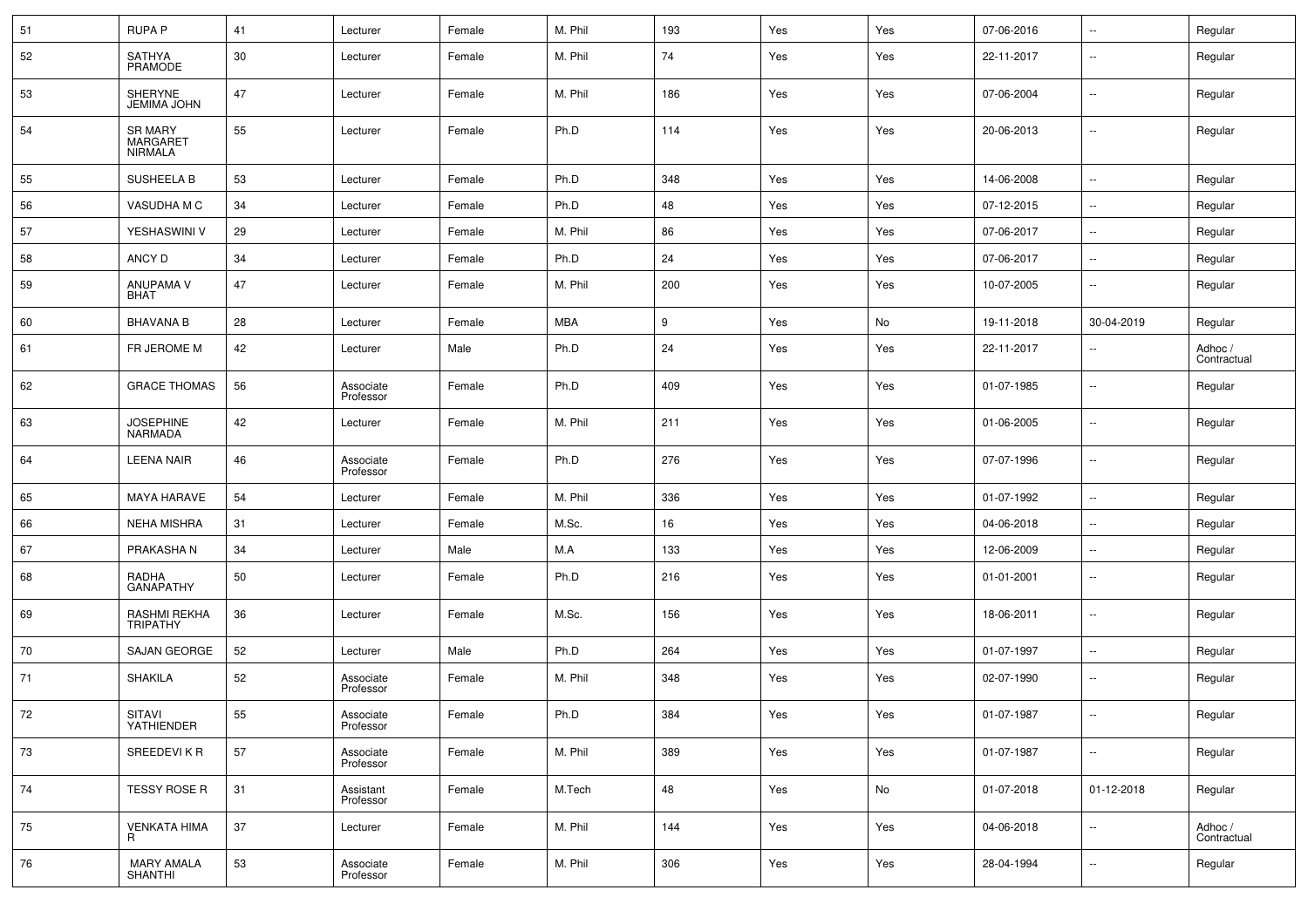| 51 | <b>RUPA P</b>                       | 41 | Lecturer               | Female | M. Phil    | 193 | Yes | Yes | 07-06-2016 | $\ddotsc$            | Regular                |
|----|-------------------------------------|----|------------------------|--------|------------|-----|-----|-----|------------|----------------------|------------------------|
| 52 | SATHYA<br>PRAMODE                   | 30 | Lecturer               | Female | M. Phil    | 74  | Yes | Yes | 22-11-2017 | $\sim$               | Regular                |
| 53 | SHERYNE<br><b>JEMIMA JOHN</b>       | 47 | Lecturer               | Female | M. Phil    | 186 | Yes | Yes | 07-06-2004 | $\sim$               | Regular                |
| 54 | SR MARY<br>MARGARET<br>NIRMALA      | 55 | Lecturer               | Female | Ph.D       | 114 | Yes | Yes | 20-06-2013 | $\sim$ $\sim$        | Regular                |
| 55 | <b>SUSHEELA B</b>                   | 53 | Lecturer               | Female | Ph.D       | 348 | Yes | Yes | 14-06-2008 | $\sim$ $\sim$        | Regular                |
| 56 | VASUDHA M C                         | 34 | Lecturer               | Female | Ph.D       | 48  | Yes | Yes | 07-12-2015 | $\sim$               | Regular                |
| 57 | YESHASWINI V                        | 29 | Lecturer               | Female | M. Phil    | 86  | Yes | Yes | 07-06-2017 | $\sim$               | Regular                |
| 58 | ANCY D                              | 34 | Lecturer               | Female | Ph.D       | 24  | Yes | Yes | 07-06-2017 | $\ddotsc$            | Regular                |
| 59 | ANUPAMA V<br><b>BHAT</b>            | 47 | Lecturer               | Female | M. Phil    | 200 | Yes | Yes | 10-07-2005 | $\sim$               | Regular                |
| 60 | <b>BHAVANA B</b>                    | 28 | Lecturer               | Female | <b>MBA</b> | 9   | Yes | No  | 19-11-2018 | 30-04-2019           | Regular                |
| 61 | FR JEROME M                         | 42 | Lecturer               | Male   | Ph.D       | 24  | Yes | Yes | 22-11-2017 | $\ddotsc$            | Adhoc /<br>Contractual |
| 62 | <b>GRACE THOMAS</b>                 | 56 | Associate<br>Professor | Female | Ph.D       | 409 | Yes | Yes | 01-07-1985 | $\sim$ $\sim$        | Regular                |
| 63 | <b>JOSEPHINE</b><br>NARMADA         | 42 | Lecturer               | Female | M. Phil    | 211 | Yes | Yes | 01-06-2005 | $\sim$               | Regular                |
| 64 | <b>LEENA NAIR</b>                   | 46 | Associate<br>Professor | Female | Ph.D       | 276 | Yes | Yes | 07-07-1996 | $\sim$               | Regular                |
| 65 | <b>MAYA HARAVE</b>                  | 54 | Lecturer               | Female | M. Phil    | 336 | Yes | Yes | 01-07-1992 | $\ddot{\phantom{a}}$ | Regular                |
| 66 | <b>NEHA MISHRA</b>                  | 31 | Lecturer               | Female | M.Sc.      | 16  | Yes | Yes | 04-06-2018 | $\sim$               | Regular                |
| 67 | PRAKASHA N                          | 34 | Lecturer               | Male   | M.A        | 133 | Yes | Yes | 12-06-2009 | $\sim$               | Regular                |
| 68 | RADHA<br>GANAPATHY                  | 50 | Lecturer               | Female | Ph.D       | 216 | Yes | Yes | 01-01-2001 | н,                   | Regular                |
| 69 | RASHMI REKHA<br>TRIPATHY            | 36 | Lecturer               | Female | M.Sc.      | 156 | Yes | Yes | 18-06-2011 | $\sim$               | Regular                |
| 70 | SAJAN GEORGE                        | 52 | Lecturer               | Male   | Ph.D       | 264 | Yes | Yes | 01-07-1997 | $\sim$               | Regular                |
| 71 | <b>SHAKILA</b>                      | 52 | Associate<br>Professor | Female | M. Phil    | 348 | Yes | Yes | 02-07-1990 | $\ddotsc$            | Regular                |
|    | SITAVI<br>YATHIENDER                | 55 | Associate<br>Professor | Female | Ph.D       | 384 | Yes | Yes | 01-07-1987 | $\sim$               | Regular                |
| 73 | <b>SREEDEVIKR</b>                   | 57 | Associate<br>Professor | Female | M. Phil    | 389 | Yes | Yes | 01-07-1987 | $\sim$               | Regular                |
| 74 | TESSY ROSE R                        | 31 | Assistant<br>Professor | Female | M.Tech     | 48  | Yes | No  | 01-07-2018 | 01-12-2018           | Regular                |
| 75 | <b>VENKATA HIMA</b><br>R.           | 37 | Lecturer               | Female | M. Phil    | 144 | Yes | Yes | 04-06-2018 | $\sim$               | Adhoc /<br>Contractual |
| 76 | <b>MARY AMALA</b><br><b>SHANTHI</b> | 53 | Associate<br>Professor | Female | M. Phil    | 306 | Yes | Yes | 28-04-1994 | $\sim$               | Regular                |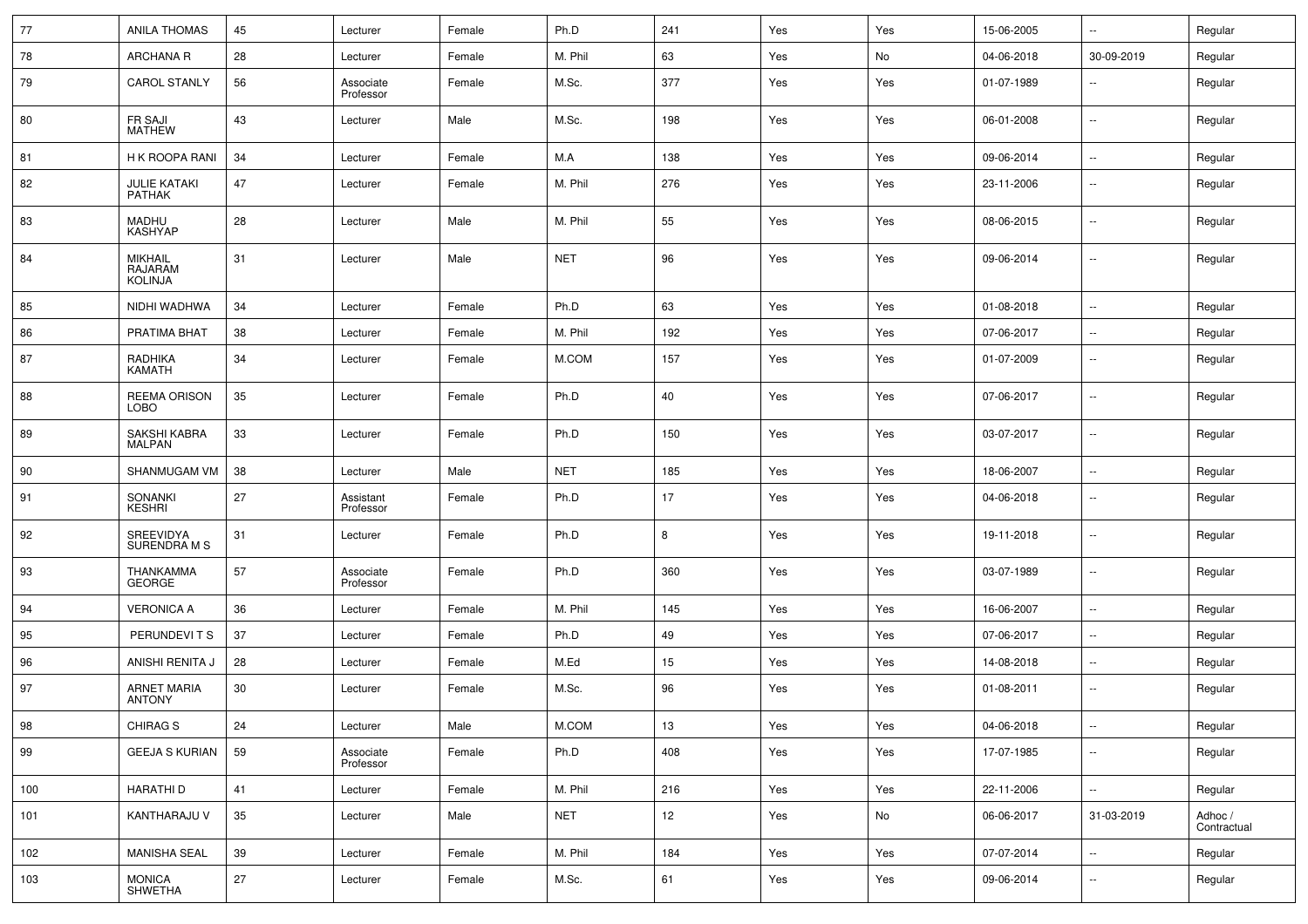| 77  | <b>ANILA THOMAS</b>                         | 45 | Lecturer               | Female | Ph.D       | 241             | Yes | Yes | 15-06-2005 | $\sim$ $\sim$            | Regular                |
|-----|---------------------------------------------|----|------------------------|--------|------------|-----------------|-----|-----|------------|--------------------------|------------------------|
| 78  | <b>ARCHANA R</b>                            | 28 | Lecturer               | Female | M. Phil    | 63              | Yes | No  | 04-06-2018 | 30-09-2019               | Regular                |
| 79  | <b>CAROL STANLY</b>                         | 56 | Associate<br>Professor | Female | M.Sc.      | 377             | Yes | Yes | 01-07-1989 | $\overline{\phantom{a}}$ | Regular                |
| 80  | <b>FR SAJI</b><br><b>MATHEW</b>             | 43 | Lecturer               | Male   | M.Sc.      | 198             | Yes | Yes | 06-01-2008 | $\sim$                   | Regular                |
| 81  | H K ROOPA RANI                              | 34 | Lecturer               | Female | M.A        | 138             | Yes | Yes | 09-06-2014 | $\ddotsc$                | Regular                |
| 82  | JULIE KATAKI<br><b>PATHAK</b>               | 47 | Lecturer               | Female | M. Phil    | 276             | Yes | Yes | 23-11-2006 | $\sim$                   | Regular                |
| 83  | <b>MADHU</b><br><b>KASHYAP</b>              | 28 | Lecturer               | Male   | M. Phil    | 55              | Yes | Yes | 08-06-2015 | $\sim$                   | Regular                |
| 84  | <b>MIKHAIL</b><br>RAJARAM<br><b>KOLINJA</b> | 31 | Lecturer               | Male   | <b>NET</b> | 96              | Yes | Yes | 09-06-2014 | $\ddotsc$                | Regular                |
| 85  | NIDHI WADHWA                                | 34 | Lecturer               | Female | Ph.D       | 63              | Yes | Yes | 01-08-2018 | $\ddotsc$                | Regular                |
| 86  | PRATIMA BHAT                                | 38 | Lecturer               | Female | M. Phil    | 192             | Yes | Yes | 07-06-2017 | $\sim$                   | Regular                |
| 87  | RADHIKA<br><b>KAMATH</b>                    | 34 | Lecturer               | Female | M.COM      | 157             | Yes | Yes | 01-07-2009 | $\sim$                   | Regular                |
| 88  | <b>REEMA ORISON</b><br><b>LOBO</b>          | 35 | Lecturer               | Female | Ph.D       | 40              | Yes | Yes | 07-06-2017 | $\sim$                   | Regular                |
| 89  | SAKSHI KABRA<br><b>MALPAN</b>               | 33 | Lecturer               | Female | Ph.D       | 150             | Yes | Yes | 03-07-2017 | $\sim$                   | Regular                |
| 90  | SHANMUGAM VM                                | 38 | Lecturer               | Male   | <b>NET</b> | 185             | Yes | Yes | 18-06-2007 | $\sim$                   | Regular                |
| 91  | SONANKI<br>KESHRI                           | 27 | Assistant<br>Professor | Female | Ph.D       | 17              | Yes | Yes | 04-06-2018 | $\sim$                   | Regular                |
| 92  | SREEVIDYA<br><b>SURENDRA M S</b>            | 31 | Lecturer               | Female | Ph.D       | 8               | Yes | Yes | 19-11-2018 | $\sim$                   | Regular                |
| 93  | THANKAMMA<br>GEORGE                         | 57 | Associate<br>Professor | Female | Ph.D       | 360             | Yes | Yes | 03-07-1989 | $\sim$                   | Regular                |
| 94  | <b>VERONICA A</b>                           | 36 | Lecturer               | Female | M. Phil    | 145             | Yes | Yes | 16-06-2007 | $\sim$                   | Regular                |
| 95  | PERUNDEVITS                                 | 37 | Lecturer               | Female | Ph.D       | 49              | Yes | Yes | 07-06-2017 | $\sim$                   | Regular                |
| 96  | ANISHI RENITA J                             | 28 | Lecturer               | Female | M.Ed       | 15              | Yes | Yes | 14-08-2018 | $\sim$                   | Regular                |
| 97  | ARNET MARIA<br>ANTONY                       | 30 | Lecturer               | Female | M.Sc.      | 96              | Yes | Yes | 01-08-2011 | $\sim$                   | Regular                |
| 98  | CHIRAG <sub>S</sub>                         | 24 | Lecturer               | Male   | M.COM      | 13              | Yes | Yes | 04-06-2018 | $\sim$                   | Regular                |
| 99  | <b>GEEJA S KURIAN</b>                       | 59 | Associate<br>Professor | Female | Ph.D       | 408             | Yes | Yes | 17-07-1985 | $\sim$                   | Regular                |
| 100 | <b>HARATHID</b>                             | 41 | Lecturer               | Female | M. Phil    | 216             | Yes | Yes | 22-11-2006 | $\mathbb{Z}^2$           | Regular                |
| 101 | KANTHARAJU V                                | 35 | Lecturer               | Male   | <b>NET</b> | 12 <sub>2</sub> | Yes | No  | 06-06-2017 | 31-03-2019               | Adhoc /<br>Contractual |
| 102 | MANISHA SEAL                                | 39 | Lecturer               | Female | M. Phil    | 184             | Yes | Yes | 07-07-2014 | $\mathbb{Z}^2$           | Regular                |
| 103 | MONICA<br>SHWETHA                           | 27 | Lecturer               | Female | M.Sc.      | 61              | Yes | Yes | 09-06-2014 | $\sim$                   | Regular                |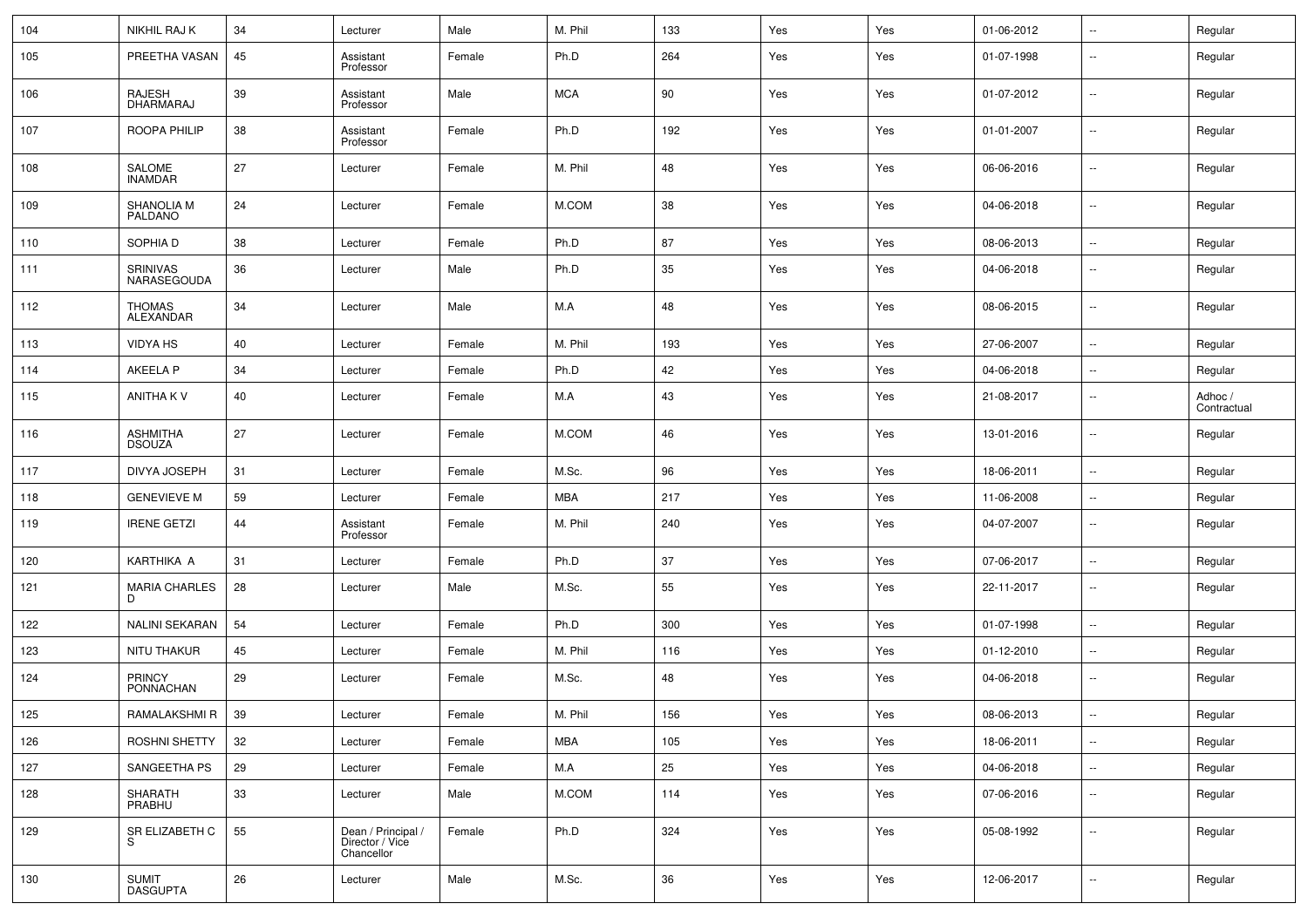| 104 | <b>NIKHIL RAJ K</b>              | 34     | Lecturer                                            | Male   | M. Phil    | 133    | Yes | Yes | 01-06-2012 | $\overline{\phantom{a}}$ | Regular                |
|-----|----------------------------------|--------|-----------------------------------------------------|--------|------------|--------|-----|-----|------------|--------------------------|------------------------|
| 105 | PREETHA VASAN                    | 45     | Assistant<br>Professor                              | Female | Ph.D       | 264    | Yes | Yes | 01-07-1998 | $\sim$                   | Regular                |
| 106 | RAJESH<br>DHARMARAJ              | 39     | Assistant<br>Professor                              | Male   | <b>MCA</b> | 90     | Yes | Yes | 01-07-2012 | $\sim$                   | Regular                |
| 107 | ROOPA PHILIP                     | 38     | Assistant<br>Professor                              | Female | Ph.D       | 192    | Yes | Yes | 01-01-2007 | $\sim$                   | Regular                |
| 108 | SALOME<br><b>INAMDAR</b>         | 27     | Lecturer                                            | Female | M. Phil    | 48     | Yes | Yes | 06-06-2016 | $\sim$                   | Regular                |
| 109 | SHANOLIA M<br>PALDANO            | 24     | Lecturer                                            | Female | M.COM      | 38     | Yes | Yes | 04-06-2018 | $\sim$                   | Regular                |
| 110 | SOPHIA D                         | 38     | Lecturer                                            | Female | Ph.D       | 87     | Yes | Yes | 08-06-2013 | $\sim$                   | Regular                |
| 111 | SRINIVAS<br>NARASEGOUDA          | 36     | Lecturer                                            | Male   | Ph.D       | 35     | Yes | Yes | 04-06-2018 | $\overline{\phantom{a}}$ | Regular                |
| 112 | <b>THOMAS</b><br>ALEXANDAR       | 34     | Lecturer                                            | Male   | M.A        | 48     | Yes | Yes | 08-06-2015 | $\sim$                   | Regular                |
| 113 | VIDYA HS                         | 40     | Lecturer                                            | Female | M. Phil    | 193    | Yes | Yes | 27-06-2007 | $\bar{ }$                | Regular                |
| 114 | <b>AKEELA P</b>                  | 34     | Lecturer                                            | Female | Ph.D       | 42     | Yes | Yes | 04-06-2018 | $\sim$                   | Regular                |
| 115 | ANITHA K V                       | 40     | Lecturer                                            | Female | M.A        | 43     | Yes | Yes | 21-08-2017 | $\sim$                   | Adhoc /<br>Contractual |
| 116 | <b>ASHMITHA</b><br><b>DSOUZA</b> | 27     | Lecturer                                            | Female | M.COM      | 46     | Yes | Yes | 13-01-2016 | $\sim$                   | Regular                |
| 117 | DIVYA JOSEPH                     | 31     | Lecturer                                            | Female | M.Sc.      | 96     | Yes | Yes | 18-06-2011 | $\sim$                   | Regular                |
| 118 | <b>GENEVIEVE M</b>               | 59     | Lecturer                                            | Female | MBA        | 217    | Yes | Yes | 11-06-2008 | $\sim$                   | Regular                |
| 119 | <b>IRENE GETZI</b>               | 44     | Assistant<br>Professor                              | Female | M. Phil    | 240    | Yes | Yes | 04-07-2007 | $\sim$                   | Regular                |
| 120 | KARTHIKA A                       | 31     | Lecturer                                            | Female | Ph.D       | 37     | Yes | Yes | 07-06-2017 | $\sim$                   | Regular                |
| 121 | <b>MARIA CHARLES</b><br>D        | 28     | Lecturer                                            | Male   | M.Sc.      | 55     | Yes | Yes | 22-11-2017 | $\sim$                   | Regular                |
| 122 | NALINI SEKARAN                   | 54     | Lecturer                                            | Female | Ph.D       | 300    | Yes | Yes | 01-07-1998 | $\sim$                   | Regular                |
| 123 | NITU THAKUR                      | 45     | Lecturer                                            | Female | M. Phil    | 116    | Yes | Yes | 01-12-2010 | $\sim$                   | Regular                |
| 124 | <b>PRINCY</b><br>PONNACHAN       | 29     | Lecturer                                            | Female | M.Sc.      | 48     | Yes | Yes | 04-06-2018 | $\sim$                   | Regular                |
| 125 | RAMALAKSHMI R                    | $39\,$ | Lecturer                                            | Female | M. Phil    | 156    | Yes | Yes | 08-06-2013 | $\sim$                   | Regular                |
| 126 | ROSHNI SHETTY                    | 32     | Lecturer                                            | Female | MBA        | 105    | Yes | Yes | 18-06-2011 | $\sim$                   | Regular                |
| 127 | SANGEETHA PS                     | 29     | Lecturer                                            | Female | M.A        | 25     | Yes | Yes | 04-06-2018 | $\mathbb{Z}^2$           | Regular                |
| 128 | SHARATH<br>PRABHU                | 33     | Lecturer                                            | Male   | M.COM      | 114    | Yes | Yes | 07-06-2016 | $\bar{ }$                | Regular                |
| 129 | SR ELIZABETH C<br>S              | 55     | Dean / Principal /<br>Director / Vice<br>Chancellor | Female | Ph.D       | 324    | Yes | Yes | 05-08-1992 | $\mathbb{Z}^2$           | Regular                |
| 130 | SUMIT<br>DASGUPTA                | 26     | Lecturer                                            | Male   | M.Sc.      | $36\,$ | Yes | Yes | 12-06-2017 | $\mathbb{Z}^2$           | Regular                |